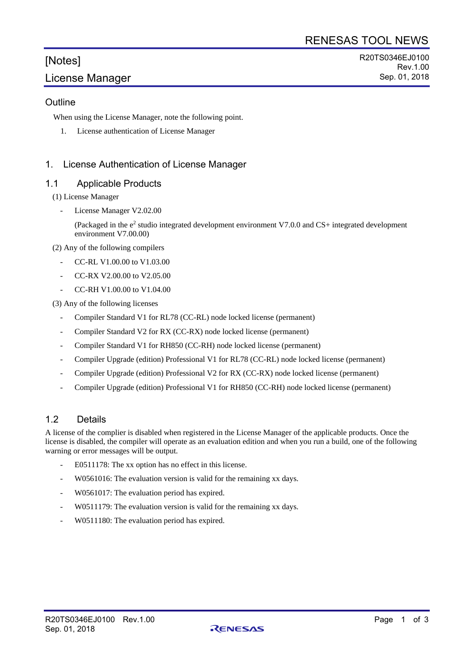# [Notes] License Manager

### **Outline**

When using the License Manager, note the following point.

1. License authentication of License Manager

## 1. License Authentication of License Manager

#### 1.1 Applicable Products

(1) License Manager

License Manager V2.02.00

(Packaged in the  $e<sup>2</sup>$  studio integrated development environment V7.0.0 and CS+ integrated development environment V7.00.00)

(2) Any of the following compilers

- CC-RL V1.00.00 to V1.03.00
- CC-RX V2.00.00 to V2.05.00
- CC-RH V1.00.00 to V1.04.00

(3) Any of the following licenses

- Compiler Standard V1 for RL78 (CC-RL) node locked license (permanent)
- Compiler Standard V2 for RX (CC-RX) node locked license (permanent)
- Compiler Standard V1 for RH850 (CC-RH) node locked license (permanent)
- Compiler Upgrade (edition) Professional V1 for RL78 (CC-RL) node locked license (permanent)
- Compiler Upgrade (edition) Professional V2 for RX (CC-RX) node locked license (permanent)
- Compiler Upgrade (edition) Professional V1 for RH850 (CC-RH) node locked license (permanent)

## 1.2 Details

A license of the complier is disabled when registered in the License Manager of the applicable products. Once the license is disabled, the compiler will operate as an evaluation edition and when you run a build, one of the following warning or error messages will be output.

- E0511178: The xx option has no effect in this license.
- W0561016: The evaluation version is valid for the remaining xx days.
- W0561017: The evaluation period has expired.
- W0511179: The evaluation version is valid for the remaining xx days.
- W0511180: The evaluation period has expired.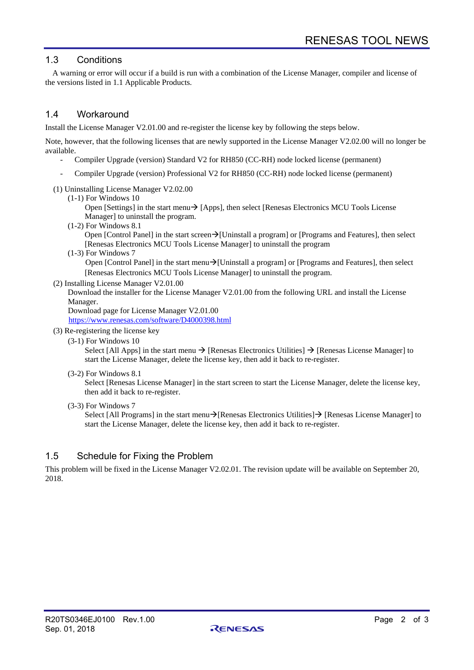## 1.3 Conditions

A warning or error will occur if a build is run with a combination of the License Manager, compiler and license of the versions listed in 1.1 Applicable Products.

## 1.4 Workaround

Install the License Manager V2.01.00 and re-register the license key by following the steps below.

Note, however, that the following licenses that are newly supported in the License Manager V2.02.00 will no longer be available.

- Compiler Upgrade (version) Standard V2 for RH850 (CC-RH) node locked license (permanent)
- Compiler Upgrade (version) Professional V2 for RH850 (CC-RH) node locked license (permanent)
- (1) Uninstalling License Manager V2.02.00
	- (1-1) For Windows 10

Open [Settings] in the start menu $\rightarrow$  [Apps], then select [Renesas Electronics MCU Tools License Manager] to uninstall the program.

(1-2) For Windows 8.1

Open [Control Panel] in the start screen→[Uninstall a program] or [Programs and Features], then select [Renesas Electronics MCU Tools License Manager] to uninstall the program

(1-3) For Windows 7

Open [Control Panel] in the start menu→[Uninstall a program] or [Programs and Features], then select [Renesas Electronics MCU Tools License Manager] to uninstall the program.

(2) Installing License Manager V2.01.00

Download the installer for the License Manager V2.01.00 from the following URL and install the License Manager.

Download page for License Manager V2.01.00

<https://www.renesas.com/software/D4000398.html>

- (3) Re-registering the license key
	- (3-1) For Windows 10

Select [All Apps] in the start menu  $\rightarrow$  [Renesas Electronics Utilities]  $\rightarrow$  [Renesas License Manager] to start the License Manager, delete the license key, then add it back to re-register.

(3-2) For Windows 8.1

Select [Renesas License Manager] in the start screen to start the License Manager, delete the license key, then add it back to re-register.

(3-3) For Windows 7

Select [All Programs] in the start menu→[Renesas Electronics Utilities]→ [Renesas License Manager] to start the License Manager, delete the license key, then add it back to re-register.

#### 1.5 Schedule for Fixing the Problem

This problem will be fixed in the License Manager V2.02.01. The revision update will be available on September 20, 2018.